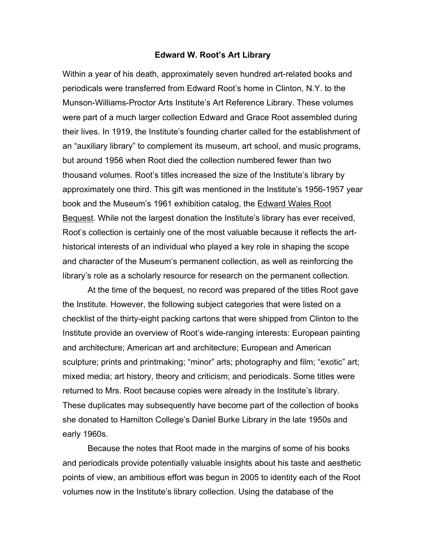## **Edward W. Root's Art Library**

Within a year of his death, approximately seven hundred art-related books and periodicals were transferred from Edward Root's home in Clinton, N.Y. to the Munson-Williams-Proctor Arts Institute's Art Reference Library. These volumes were part of a much larger collection Edward and Grace Root assembled during their lives. In 1919, the Institute's founding charter called for the establishment of an "auxiliary library" to complement its museum, art school, and music programs, but around 1956 when Root died the collection numbered fewer than two thousand volumes. Root's titles increased the size of the Institute's library by approximately one third. This gift was mentioned in the Institute's 1956-1957 year book and the Museum's 1961 exhibition catalog, the Edward Wales Root Bequest. While not the largest donation the Institute's library has ever received, Root's collection is certainly one of the most valuable because it reflects the arthistorical interests of an individual who played a key role in shaping the scope and character of the Museum's permanent collection, as well as reinforcing the library's role as a scholarly resource for research on the permanent collection.

At the time of the bequest, no record was prepared of the titles Root gave the Institute. However, the following subject categories that were listed on a checklist of the thirty-eight packing cartons that were shipped from Clinton to the Institute provide an overview of Root's wide-ranging interests: European painting and architecture; American art and architecture; European and American sculpture; prints and printmaking; "minor" arts; photography and film; "exotic" art; mixed media; art history, theory and criticism; and periodicals. Some titles were returned to Mrs. Root because copies were already in the Institute's library. These duplicates may subsequently have become part of the collection of books she donated to Hamilton College's Daniel Burke Library in the late 1950s and early 1960s.

Because the notes that Root made in the margins of some of his books and periodicals provide potentially valuable insights about his taste and aesthetic points of view, an ambitious effort was begun in 2005 to identity each of the Root volumes now in the Institute's library collection. Using the database of the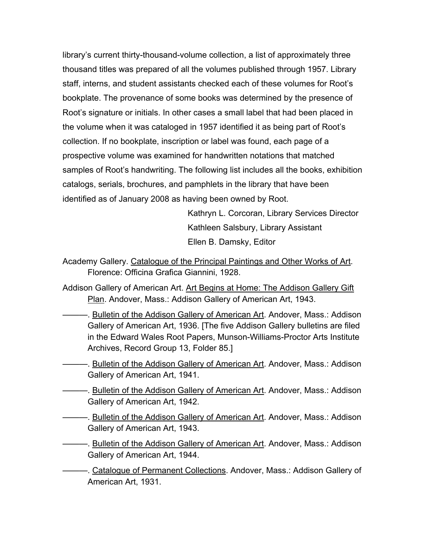library's current thirty-thousand-volume collection, a list of approximately three thousand titles was prepared of all the volumes published through 1957. Library staff, interns, and student assistants checked each of these volumes for Root's bookplate. The provenance of some books was determined by the presence of Root's signature or initials. In other cases a small label that had been placed in the volume when it was cataloged in 1957 identified it as being part of Root's collection. If no bookplate, inscription or label was found, each page of a prospective volume was examined for handwritten notations that matched samples of Root's handwriting. The following list includes all the books, exhibition catalogs, serials, brochures, and pamphlets in the library that have been identified as of January 2008 as having been owned by Root.

> Kathryn L. Corcoran, Library Services Director Kathleen Salsbury, Library Assistant Ellen B. Damsky, Editor

- Academy Gallery. Catalogue of the Principal Paintings and Other Works of Art. Florence: Officina Grafica Giannini, 1928.
- Addison Gallery of American Art. Art Begins at Home: The Addison Gallery Gift Plan. Andover, Mass.: Addison Gallery of American Art, 1943.
	- Bulletin of the Addison Gallery of American Art. Andover, Mass.: Addison Gallery of American Art, 1936. [The five Addison Gallery bulletins are filed in the Edward Wales Root Papers, Munson-Williams-Proctor Arts Institute Archives, Record Group 13, Folder 85.]
- ——. Bulletin of the Addison Gallery of American Art. Andover, Mass.: Addison Gallery of American Art, 1941.
- ———. Bulletin of the Addison Gallery of American Art. Andover, Mass.: Addison Gallery of American Art, 1942.
- ———. Bulletin of the Addison Gallery of American Art. Andover, Mass.: Addison Gallery of American Art, 1943.
- **Bulletin of the Addison Gallery of American Art. Andover, Mass.: Addison** Gallery of American Art, 1944.
	- Catalogue of Permanent Collections. Andover, Mass.: Addison Gallery of American Art, 1931.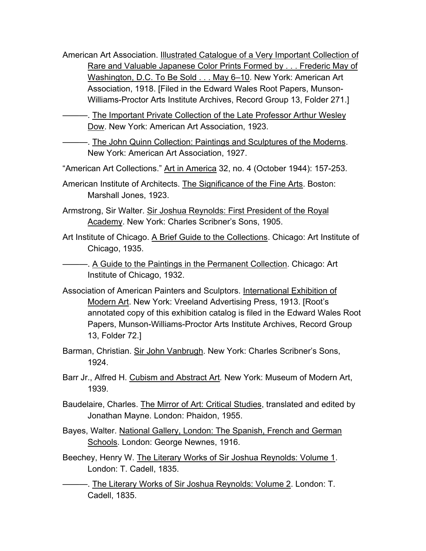- American Art Association. Illustrated Catalogue of a Very Important Collection of Rare and Valuable Japanese Color Prints Formed by . . . Frederic May of Washington, D.C. To Be Sold . . . May 6–10. New York: American Art Association, 1918. [Filed in the Edward Wales Root Papers, Munson-Williams-Proctor Arts Institute Archives, Record Group 13, Folder 271.]
- ———. The Important Private Collection of the Late Professor Arthur Wesley Dow. New York: American Art Association, 1923.
	- ———. The John Quinn Collection: Paintings and Sculptures of the Moderns. New York: American Art Association, 1927.
- "American Art Collections." Art in America 32, no. 4 (October 1944): 157-253.
- American Institute of Architects. The Significance of the Fine Arts. Boston: Marshall Jones, 1923.
- Armstrong, Sir Walter. Sir Joshua Reynolds: First President of the Royal Academy. New York: Charles Scribner's Sons, 1905.
- Art Institute of Chicago. A Brief Guide to the Collections. Chicago: Art Institute of Chicago, 1935.
	- ———. A Guide to the Paintings in the Permanent Collection. Chicago: Art Institute of Chicago, 1932.
- Association of American Painters and Sculptors. International Exhibition of Modern Art. New York: Vreeland Advertising Press, 1913. [Root's annotated copy of this exhibition catalog is filed in the Edward Wales Root Papers, Munson-Williams-Proctor Arts Institute Archives, Record Group 13, Folder 72.]
- Barman, Christian. Sir John Vanbrugh. New York: Charles Scribner's Sons, 1924.
- Barr Jr., Alfred H. Cubism and Abstract Art*.* New York: Museum of Modern Art, 1939.
- Baudelaire, Charles. The Mirror of Art: Critical Studies, translated and edited by Jonathan Mayne. London: Phaidon, 1955.
- Bayes, Walter. National Gallery, London: The Spanish, French and German Schools. London: George Newnes, 1916.
- Beechey, Henry W. The Literary Works of Sir Joshua Reynolds: Volume 1. London: T. Cadell, 1835.
	- ———. The Literary Works of Sir Joshua Reynolds: Volume 2. London: T. Cadell, 1835.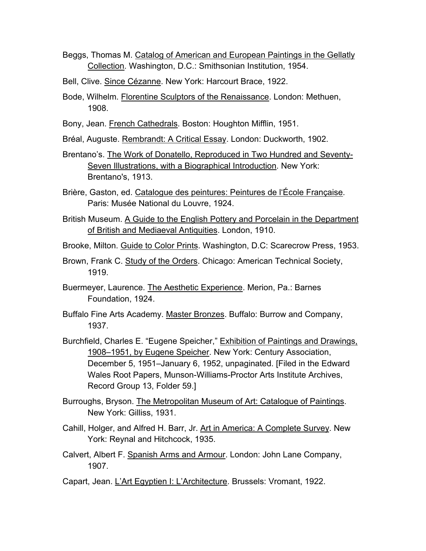- Beggs, Thomas M. Catalog of American and European Paintings in the Gellatly Collection. Washington, D.C.: Smithsonian Institution, 1954.
- Bell, Clive. Since Cézanne. New York: Harcourt Brace, 1922.
- Bode, Wilhelm. Florentine Sculptors of the Renaissance. London: Methuen, 1908.
- Bony, Jean. French Cathedrals. Boston: Houghton Mifflin, 1951.
- Bréal, Auguste. Rembrandt: A Critical Essay. London: Duckworth, 1902.
- Brentano's. The Work of Donatello, Reproduced in Two Hundred and Seventy-Seven Illustrations, with a Biographical Introduction. New York: Brentano's, 1913.
- Brière, Gaston, ed. Catalogue des peintures: Peintures de l'École Française. Paris: Musée National du Louvre, 1924.
- British Museum. A Guide to the English Pottery and Porcelain in the Department of British and Mediaeval Antiquities. London, 1910.
- Brooke, Milton. Guide to Color Prints. Washington, D.C: Scarecrow Press, 1953.
- Brown, Frank C. Study of the Orders. Chicago: American Technical Society, 1919.
- Buermeyer, Laurence. The Aesthetic Experience. Merion, Pa.: Barnes Foundation, 1924.
- Buffalo Fine Arts Academy. Master Bronzes. Buffalo: Burrow and Company, 1937.
- Burchfield, Charles E. "Eugene Speicher," Exhibition of Paintings and Drawings, 1908–1951, by Eugene Speicher. New York: Century Association, December 5, 1951–January 6, 1952, unpaginated. [Filed in the Edward Wales Root Papers, Munson-Williams-Proctor Arts Institute Archives, Record Group 13, Folder 59.]
- Burroughs, Bryson. The Metropolitan Museum of Art: Catalogue of Paintings. New York: Gilliss, 1931.
- Cahill, Holger, and Alfred H. Barr, Jr. Art in America: A Complete Survey. New York: Reynal and Hitchcock, 1935.
- Calvert, Albert F. Spanish Arms and Armour. London: John Lane Company, 1907.
- Capart, Jean. L'Art Egyptien I: L'Architecture. Brussels: Vromant, 1922.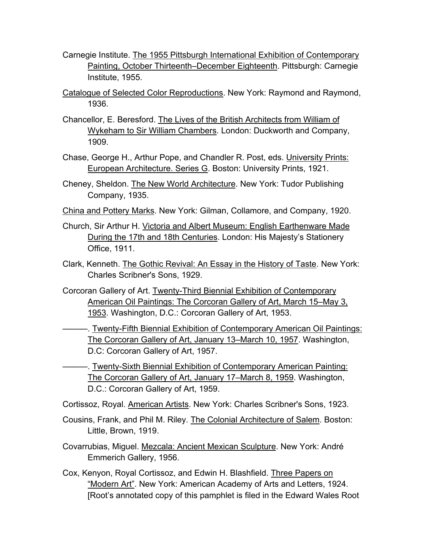- Carnegie Institute. The 1955 Pittsburgh International Exhibition of Contemporary Painting, October Thirteenth–December Eighteenth. Pittsburgh: Carnegie Institute, 1955.
- Catalogue of Selected Color Reproductions. New York: Raymond and Raymond, 1936.
- Chancellor, E. Beresford. The Lives of the British Architects from William of Wykeham to Sir William Chambers. London: Duckworth and Company, 1909.
- Chase, George H., Arthur Pope, and Chandler R. Post, eds. University Prints: European Architecture. Series G. Boston: University Prints, 1921.
- Cheney, Sheldon. The New World Architecture. New York: Tudor Publishing Company, 1935.
- China and Pottery Marks. New York: Gilman, Collamore, and Company, 1920.
- Church, Sir Arthur H. Victoria and Albert Museum: English Earthenware Made During the 17th and 18th Centuries. London: His Majesty's Stationery Office, 1911.
- Clark, Kenneth. The Gothic Revival: An Essay in the History of Taste. New York: Charles Scribner's Sons, 1929.
- Corcoran Gallery of Art. Twenty-Third Biennial Exhibition of Contemporary American Oil Paintings: The Corcoran Gallery of Art, March 15–May 3, 1953. Washington, D.C.: Corcoran Gallery of Art, 1953.

———. Twenty-Fifth Biennial Exhibition of Contemporary American Oil Paintings: The Corcoran Gallery of Art, January 13–March 10, 1957. Washington, D.C: Corcoran Gallery of Art, 1957.

———. Twenty-Sixth Biennial Exhibition of Contemporary American Painting: The Corcoran Gallery of Art, January 17–March 8, 1959. Washington, D.C.: Corcoran Gallery of Art, 1959.

Cortissoz, Royal. American Artists. New York: Charles Scribner's Sons, 1923.

- Cousins, Frank, and Phil M. Riley. The Colonial Architecture of Salem. Boston: Little, Brown, 1919.
- Covarrubias, Miguel. Mezcala: Ancient Mexican Sculpture. New York: André Emmerich Gallery, 1956.
- Cox, Kenyon, Royal Cortissoz, and Edwin H. Blashfield. Three Papers on "Modern Art". New York: American Academy of Arts and Letters, 1924. [Root's annotated copy of this pamphlet is filed in the Edward Wales Root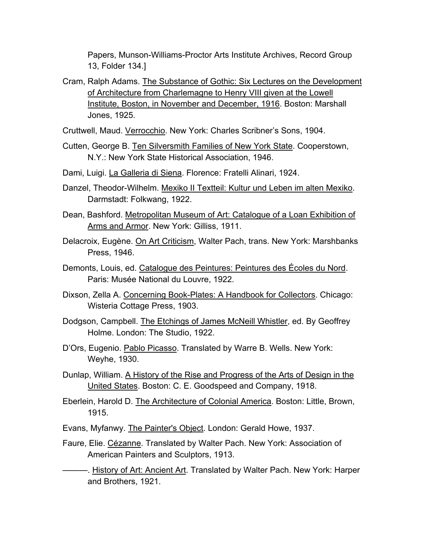Papers, Munson-Williams-Proctor Arts Institute Archives, Record Group 13, Folder 134.]

- Cram, Ralph Adams. The Substance of Gothic: Six Lectures on the Development of Architecture from Charlemagne to Henry VIII given at the Lowell Institute, Boston, in November and December, 1916. Boston: Marshall Jones, 1925.
- Cruttwell, Maud. Verrocchio. New York: Charles Scribner's Sons, 1904.
- Cutten, George B. Ten Silversmith Families of New York State. Cooperstown, N.Y.: New York State Historical Association, 1946.
- Dami, Luigi. La Galleria di Siena. Florence: Fratelli Alinari, 1924.
- Danzel, Theodor-Wilhelm. Mexiko II Textteil: Kultur und Leben im alten Mexiko. Darmstadt: Folkwang, 1922.
- Dean, Bashford. Metropolitan Museum of Art: Catalogue of a Loan Exhibition of Arms and Armor. New York: Gilliss, 1911.
- Delacroix, Eugène. On Art Criticism, Walter Pach, trans. New York: Marshbanks Press, 1946.
- Demonts, Louis, ed. Catalogue des Peintures: Peintures des Écoles du Nord. Paris: Musée National du Louvre, 1922.
- Dixson, Zella A. Concerning Book-Plates: A Handbook for Collectors. Chicago: Wisteria Cottage Press, 1903.
- Dodgson, Campbell. The Etchings of James McNeill Whistler, ed. By Geoffrey Holme. London: The Studio, 1922.
- D'Ors, Eugenio. Pablo Picasso. Translated by Warre B. Wells. New York: Weyhe, 1930.
- Dunlap, William. A History of the Rise and Progress of the Arts of Design in the United States. Boston: C. E. Goodspeed and Company, 1918.
- Eberlein, Harold D. The Architecture of Colonial America. Boston: Little, Brown, 1915.
- Evans, Myfanwy. The Painter's Object. London: Gerald Howe, 1937.
- Faure, Elie. Cézanne. Translated by Walter Pach. New York: Association of American Painters and Sculptors, 1913.
	- —. History of Art: Ancient Art. Translated by Walter Pach. New York: Harper and Brothers, 1921.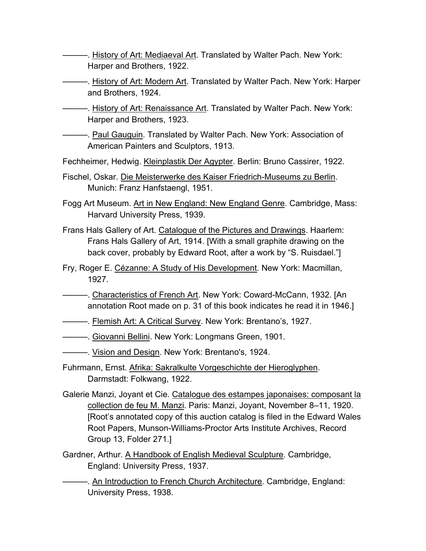- **——. History of Art: Mediaeval Art. Translated by Walter Pach. New York:** Harper and Brothers, 1922.
- ———. History of Art: Modern Art. Translated by Walter Pach. New York: Harper and Brothers, 1924.
- ———. History of Art: Renaissance Art. Translated by Walter Pach. New York: Harper and Brothers, 1923.
- ———. Paul Gauguin. Translated by Walter Pach. New York: Association of American Painters and Sculptors, 1913.
- Fechheimer, Hedwig. Kleinplastik Der Agypter. Berlin: Bruno Cassirer, 1922.
- Fischel, Oskar. Die Meisterwerke des Kaiser Friedrich-Museums zu Berlin. Munich: Franz Hanfstaengl, 1951.
- Fogg Art Museum. Art in New England: New England Genre. Cambridge, Mass: Harvard University Press, 1939.
- Frans Hals Gallery of Art. Catalogue of the Pictures and Drawings. Haarlem: Frans Hals Gallery of Art, 1914. [With a small graphite drawing on the back cover, probably by Edward Root, after a work by "S. Ruisdael."]
- Fry, Roger E. Cézanne: A Study of His Development. New York: Macmillan, 1927.
- ———. Characteristics of French Art. New York: Coward-McCann, 1932. [An annotation Root made on p. 31 of this book indicates he read it in 1946.]
- ———. Flemish Art: A Critical Survey. New York: Brentano's, 1927.
- ———. Giovanni Bellini. New York: Longmans Green, 1901.
- ———. Vision and Design. New York: Brentano's, 1924.
- Fuhrmann, Ernst. Afrika: Sakralkulte Vorgeschichte der Hieroglyphen. Darmstadt: Folkwang, 1922.
- Galerie Manzi, Joyant et Cie. Catalogue des estampes japonaises: composant la collection de feu M. Manzi. Paris: Manzi, Joyant, November 8–11, 1920. [Root's annotated copy of this auction catalog is filed in the Edward Wales Root Papers, Munson-Williams-Proctor Arts Institute Archives, Record Group 13, Folder 271.]
- Gardner, Arthur. A Handbook of English Medieval Sculpture. Cambridge, England: University Press, 1937.
	- $-$ . An Introduction to French Church Architecture. Cambridge, England: University Press, 1938.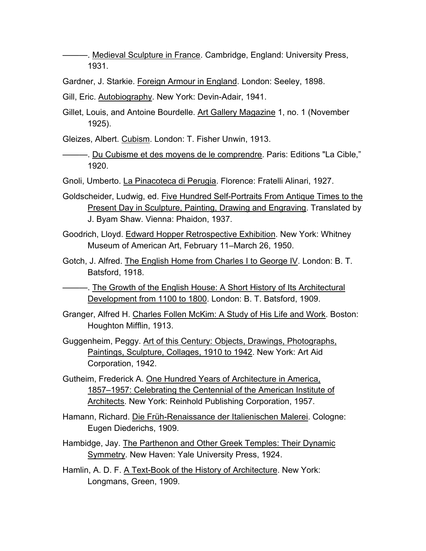-. Medieval Sculpture in France. Cambridge, England: University Press, 1931.

Gardner, J. Starkie. Foreign Armour in England. London: Seeley, 1898.

Gill, Eric. Autobiography. New York: Devin-Adair, 1941.

Gillet, Louis, and Antoine Bourdelle. Art Gallery Magazine 1, no. 1 (November 1925).

Gleizes, Albert. Cubism. London: T. Fisher Unwin, 1913.

———. Du Cubisme et des moyens de le comprendre. Paris: Editions "La Cible," 1920.

Gnoli, Umberto. La Pinacoteca di Perugia. Florence: Fratelli Alinari, 1927.

- Goldscheider, Ludwig, ed. Five Hundred Self-Portraits From Antique Times to the Present Day in Sculpture, Painting, Drawing and Engraving. Translated by J. Byam Shaw. Vienna: Phaidon, 1937.
- Goodrich, Lloyd. Edward Hopper Retrospective Exhibition. New York: Whitney Museum of American Art, February 11–March 26, 1950.
- Gotch, J. Alfred. The English Home from Charles I to George IV. London: B. T. Batsford, 1918.
- ———. The Growth of the English House: A Short History of Its Architectural Development from 1100 to 1800. London: B. T. Batsford, 1909.
- Granger, Alfred H. Charles Follen McKim: A Study of His Life and Work. Boston: Houghton Mifflin, 1913.
- Guggenheim, Peggy. Art of this Century: Objects, Drawings, Photographs, Paintings, Sculpture, Collages, 1910 to 1942. New York: Art Aid Corporation, 1942.
- Gutheim, Frederick A. One Hundred Years of Architecture in America, 1857–1957: Celebrating the Centennial of the American Institute of Architects. New York: Reinhold Publishing Corporation, 1957.
- Hamann, Richard. Die Früh-Renaissance der Italienischen Malerei. Cologne: Eugen Diederichs, 1909.
- Hambidge, Jay. The Parthenon and Other Greek Temples: Their Dynamic Symmetry. New Haven: Yale University Press, 1924.
- Hamlin, A. D. F. A Text-Book of the History of Architecture. New York: Longmans, Green, 1909.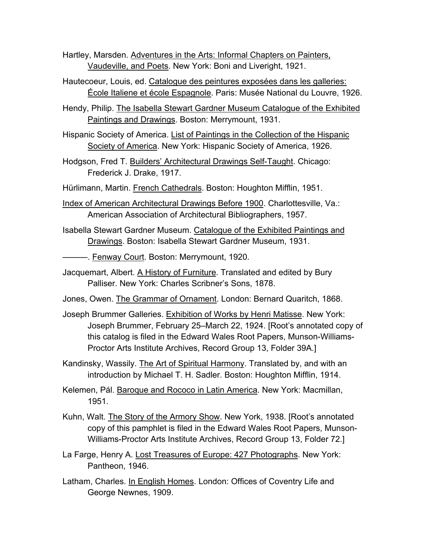Hartley, Marsden. Adventures in the Arts: Informal Chapters on Painters, Vaudeville, and Poets. New York: Boni and Liveright, 1921.

- Hautecoeur, Louis, ed. Catalogue des peintures exposées dans les galleries: École Italiene et école Espagnole. Paris: Musée National du Louvre, 1926.
- Hendy, Philip. The Isabella Stewart Gardner Museum Catalogue of the Exhibited Paintings and Drawings. Boston: Merrymount, 1931.
- Hispanic Society of America. List of Paintings in the Collection of the Hispanic Society of America. New York: Hispanic Society of America, 1926.
- Hodgson, Fred T. Builders' Architectural Drawings Self-Taught. Chicago: Frederick J. Drake, 1917.
- Hürlimann, Martin. French Cathedrals. Boston: Houghton Mifflin, 1951.
- Index of American Architectural Drawings Before 1900. Charlottesville, Va.: American Association of Architectural Bibliographers, 1957.
- Isabella Stewart Gardner Museum. Catalogue of the Exhibited Paintings and Drawings. Boston: Isabella Stewart Gardner Museum, 1931.
- ———. Fenway Court. Boston: Merrymount, 1920.
- Jacquemart, Albert. A History of Furniture. Translated and edited by Bury Palliser. New York: Charles Scribner's Sons, 1878.
- Jones, Owen. The Grammar of Ornament. London: Bernard Quaritch, 1868.
- Joseph Brummer Galleries. Exhibition of Works by Henri Matisse. New York: Joseph Brummer, February 25–March 22, 1924. [Root's annotated copy of this catalog is filed in the Edward Wales Root Papers, Munson-Williams-Proctor Arts Institute Archives, Record Group 13, Folder 39A.]
- Kandinsky, Wassily. The Art of Spiritual Harmony. Translated by, and with an introduction by Michael T. H. Sadler. Boston: Houghton Mifflin, 1914.
- Kelemen, Pál. Baroque and Rococo in Latin America. New York: Macmillan, 1951.
- Kuhn, Walt. The Story of the Armory Show. New York, 1938. [Root's annotated copy of this pamphlet is filed in the Edward Wales Root Papers, Munson-Williams-Proctor Arts Institute Archives, Record Group 13, Folder 72.]
- La Farge, Henry A. Lost Treasures of Europe: 427 Photographs. New York: Pantheon, 1946.
- Latham, Charles. In English Homes. London: Offices of Coventry Life and George Newnes, 1909.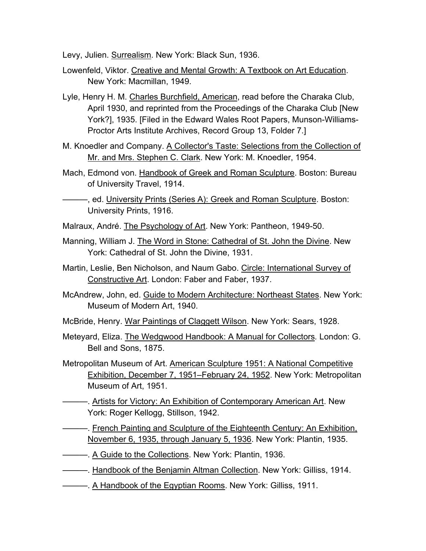Levy, Julien. Surrealism. New York: Black Sun, 1936.

- Lowenfeld, Viktor. Creative and Mental Growth: A Textbook on Art Education. New York: Macmillan, 1949.
- Lyle, Henry H. M. Charles Burchfield, American, read before the Charaka Club, April 1930, and reprinted from the Proceedings of the Charaka Club [New York?], 1935. [Filed in the Edward Wales Root Papers, Munson-Williams-Proctor Arts Institute Archives, Record Group 13, Folder 7.]
- M. Knoedler and Company. A Collector's Taste: Selections from the Collection of Mr. and Mrs. Stephen C. Clark. New York: M. Knoedler, 1954.
- Mach, Edmond von. Handbook of Greek and Roman Sculpture. Boston: Bureau of University Travel, 1914.
- ———, ed. University Prints (Series A): Greek and Roman Sculpture. Boston: University Prints, 1916.
- Malraux, André. The Psychology of Art. New York: Pantheon, 1949-50.
- Manning, William J. The Word in Stone: Cathedral of St. John the Divine. New York: Cathedral of St. John the Divine, 1931.
- Martin, Leslie, Ben Nicholson, and Naum Gabo. Circle: International Survey of Constructive Art. London: Faber and Faber, 1937.
- McAndrew, John, ed. Guide to Modern Architecture: Northeast States. New York: Museum of Modern Art, 1940.
- McBride, Henry. War Paintings of Claggett Wilson. New York: Sears, 1928.
- Meteyard, Eliza. The Wedgwood Handbook: A Manual for Collectors*.* London: G. Bell and Sons, 1875.
- Metropolitan Museum of Art. American Sculpture 1951: A National Competitive Exhibition, December 7, 1951–February 24, 1952. New York: Metropolitan Museum of Art, 1951.
	- **Artists for Victory: An Exhibition of Contemporary American Art. New** York: Roger Kellogg, Stillson, 1942.
	- **——. French Painting and Sculpture of the Eighteenth Century: An Exhibition,** November 6, 1935, through January 5, 1936. New York: Plantin, 1935.
- ———. A Guide to the Collections. New York: Plantin, 1936.
- ———. Handbook of the Benjamin Altman Collection. New York: Gilliss, 1914.
- ———. A Handbook of the Egyptian Rooms. New York: Gilliss, 1911.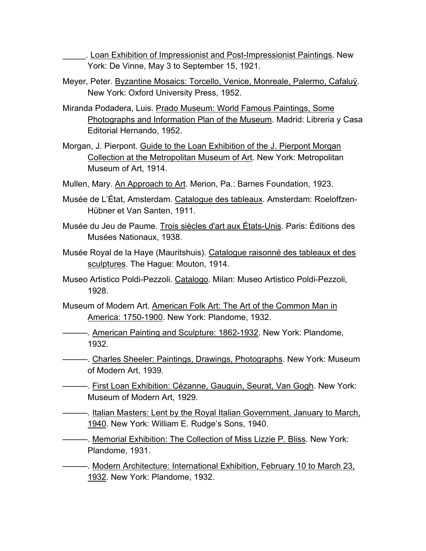\_\_\_\_\_. Loan Exhibition of Impressionist and Post-Impressionist Paintings. New York: De Vinne, May 3 to September 15, 1921.

- Meyer, Peter. Byzantine Mosaics: Torcello, Venice, Monreale, Palermo, Cafaluÿ. New York: Oxford University Press, 1952.
- Miranda Podadera, Luis. Prado Museum: World Famous Paintings, Some Photographs and Information Plan of the Museum. Madrid: Libreria y Casa Editorial Hernando, 1952.
- Morgan, J. Pierpont. Guide to the Loan Exhibition of the J. Pierpont Morgan Collection at the Metropolitan Museum of Art. New York: Metropolitan Museum of Art, 1914.
- Mullen, Mary. An Approach to Art. Merion, Pa.: Barnes Foundation, 1923.
- Musée de L'État, Amsterdam. Catalogue des tableaux. Amsterdam: Roeloffzen-Hübner et Van Santen, 1911.
- Musée du Jeu de Paume. Trois siècles d'art aux États-Unis. Paris: Éditions des Musées Nationaux, 1938.
- Musée Royal de la Haye (Mauritshuis). Catalogue raisonné des tableaux et des sculptures. The Hague: Mouton, 1914.
- Museo Artistico Poldi-Pezzoli. Catalogo. Milan: Museo Artistico Poldi-Pezzoli, 1928.
- Museum of Modern Art. American Folk Art: The Art of the Common Man in America: 1750-1900. New York: Plandome, 1932.
	- American Painting and Sculpture: 1862-1932. New York: Plandome, 1932.
- ———. Charles Sheeler: Paintings, Drawings, Photographs. New York: Museum of Modern Art, 1939.
- ———. First Loan Exhibition: Cézanne, Gauguin, Seurat, Van Gogh. New York: Museum of Modern Art, 1929.
- ———. Italian Masters: Lent by the Royal Italian Government, January to March, 1940. New York: William E. Rudge's Sons, 1940.
- ———. Memorial Exhibition: The Collection of Miss Lizzie P. Bliss*.* New York: Plandome, 1931.
- ———. Modern Architecture: International Exhibition, February 10 to March 23, 1932. New York: Plandome, 1932.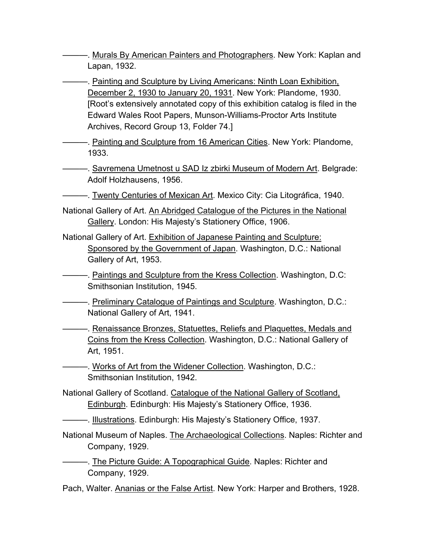———. Murals By American Painters and Photographers. New York: Kaplan and Lapan, 1932.

———. Painting and Sculpture by Living Americans: Ninth Loan Exhibition, December 2, 1930 to January 20, 1931. New York: Plandome, 1930. [Root's extensively annotated copy of this exhibition catalog is filed in the Edward Wales Root Papers, Munson-Williams-Proctor Arts Institute Archives, Record Group 13, Folder 74.]

———. Painting and Sculpture from 16 American Cities. New York: Plandome, 1933.

----. Savremena Umetnost u SAD Iz zbirki Museum of Modern Art. Belgrade: Adolf Holzhausens, 1956.

———. Twenty Centuries of Mexican Art. Mexico City: Cia Litográfica, 1940.

- National Gallery of Art. An Abridged Catalogue of the Pictures in the National Gallery. London: His Majesty's Stationery Office, 1906.
- National Gallery of Art. Exhibition of Japanese Painting and Sculpture: Sponsored by the Government of Japan. Washington, D.C.: National Gallery of Art, 1953.
	- **-**——. Paintings and Sculpture from the Kress Collection. Washington, D.C: Smithsonian Institution, 1945.
- **————. Preliminary Catalogue of Paintings and Sculpture. Washington, D.C.:** National Gallery of Art, 1941.

**EXECT:** Renaissance Bronzes, Statuettes, Reliefs and Plaquettes, Medals and Coins from the Kress Collection. Washington, D.C.: National Gallery of Art, 1951.

- ——. Works of Art from the Widener Collection. Washington, D.C.: Smithsonian Institution, 1942.
- National Gallery of Scotland. Catalogue of the National Gallery of Scotland, Edinburgh. Edinburgh: His Majesty's Stationery Office, 1936.
- —. Illustrations. Edinburgh: His Majesty's Stationery Office, 1937.
- National Museum of Naples. The Archaeological Collections. Naples: Richter and Company, 1929.
- **———.** The Picture Guide: A Topographical Guide. Naples: Richter and Company, 1929.
- Pach, Walter. Ananias or the False Artist. New York: Harper and Brothers, 1928.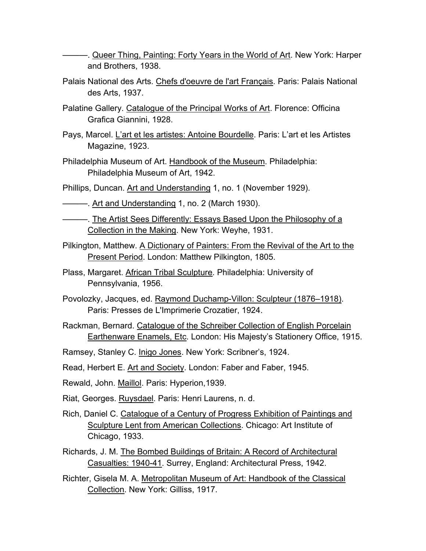———. Queer Thing, Painting: Forty Years in the World of Art. New York: Harper and Brothers, 1938.

- Palais National des Arts. Chefs d'oeuvre de l'art Français*.* Paris: Palais National des Arts, 1937.
- Palatine Gallery. Catalogue of the Principal Works of Art. Florence: Officina Grafica Giannini, 1928.
- Pays, Marcel. L'art et les artistes: Antoine Bourdelle. Paris: L'art et les Artistes Magazine, 1923.
- Philadelphia Museum of Art. Handbook of the Museum. Philadelphia: Philadelphia Museum of Art, 1942.
- Phillips, Duncan. Art and Understanding 1, no. 1 (November 1929).
- Art and Understanding 1, no. 2 (March 1930).
- ———. The Artist Sees Differently: Essays Based Upon the Philosophy of a Collection in the Making. New York: Weyhe, 1931.
- Pilkington, Matthew. A Dictionary of Painters: From the Revival of the Art to the Present Period. London: Matthew Pilkington, 1805.
- Plass, Margaret. African Tribal Sculpture. Philadelphia: University of Pennsylvania, 1956.
- Povolozky, Jacques, ed. Raymond Duchamp-Villon: Sculpteur (1876–1918). Paris: Presses de L'Imprimerie Crozatier, 1924.
- Rackman, Bernard. Catalogue of the Schreiber Collection of English Porcelain Earthenware Enamels, Etc. London: His Majesty's Stationery Office, 1915.
- Ramsey, Stanley C. Inigo Jones. New York: Scribner's, 1924.
- Read, Herbert E. Art and Society. London: Faber and Faber, 1945.
- Rewald, John. Maillol. Paris: Hyperion,1939.
- Riat, Georges. Ruysdael. Paris: Henri Laurens, n. d.
- Rich, Daniel C. Catalogue of a Century of Progress Exhibition of Paintings and Sculpture Lent from American Collections. Chicago: Art Institute of Chicago, 1933.
- Richards, J. M. The Bombed Buildings of Britain: A Record of Architectural Casualties: 1940-41. Surrey, England: Architectural Press, 1942.
- Richter, Gisela M. A. Metropolitan Museum of Art: Handbook of the Classical Collection. New York: Gilliss, 1917.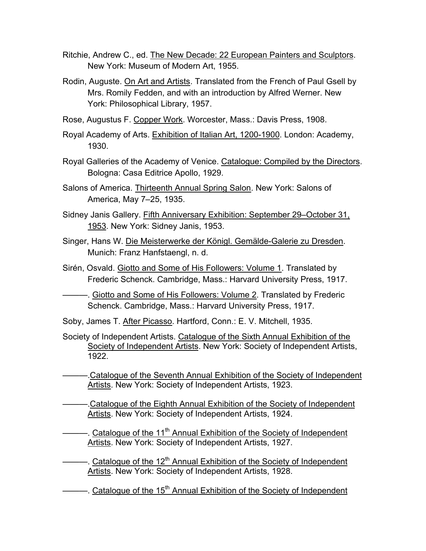- Ritchie, Andrew C., ed. The New Decade: 22 European Painters and Sculptors. New York: Museum of Modern Art, 1955.
- Rodin, Auguste. On Art and Artists. Translated from the French of Paul Gsell by Mrs. Romily Fedden, and with an introduction by Alfred Werner. New York: Philosophical Library, 1957.
- Rose, Augustus F. Copper Work. Worcester, Mass.: Davis Press, 1908.
- Royal Academy of Arts. Exhibition of Italian Art, 1200-1900. London: Academy, 1930.
- Royal Galleries of the Academy of Venice. Catalogue: Compiled by the Directors. Bologna: Casa Editrice Apollo, 1929.
- Salons of America. Thirteenth Annual Spring Salon. New York: Salons of America, May 7–25, 1935.
- Sidney Janis Gallery. Fifth Anniversary Exhibition: September 29–October 31, 1953. New York: Sidney Janis, 1953.
- Singer, Hans W. Die Meisterwerke der Königl. Gemälde-Galerie zu Dresden. Munich: Franz Hanfstaengl, n. d.
- Sirén, Osvald. Giotto and Some of His Followers: Volume 1. Translated by Frederic Schenck. Cambridge, Mass.: Harvard University Press, 1917.
- ———. Giotto and Some of His Followers: Volume 2. Translated by Frederic Schenck. Cambridge, Mass.: Harvard University Press, 1917.
- Soby, James T. After Picasso. Hartford, Conn.: E. V. Mitchell, 1935.
- Society of Independent Artists. Catalogue of the Sixth Annual Exhibition of the Society of Independent Artists. New York: Society of Independent Artists, 1922.
- ———.Catalogue of the Seventh Annual Exhibition of the Society of Independent Artists. New York: Society of Independent Artists, 1923.
- ———.Catalogue of the Eighth Annual Exhibition of the Society of Independent Artists. New York: Society of Independent Artists, 1924.
- ———. Catalogue of the 11<sup>th</sup> Annual Exhibition of the Society of Independent Artists. New York: Society of Independent Artists, 1927.
- ——. Catalogue of the 12<sup>th</sup> Annual Exhibition of the Society of Independent Artists. New York: Society of Independent Artists, 1928.
- ———. Catalogue of the 15<sup>th</sup> Annual Exhibition of the Society of Independent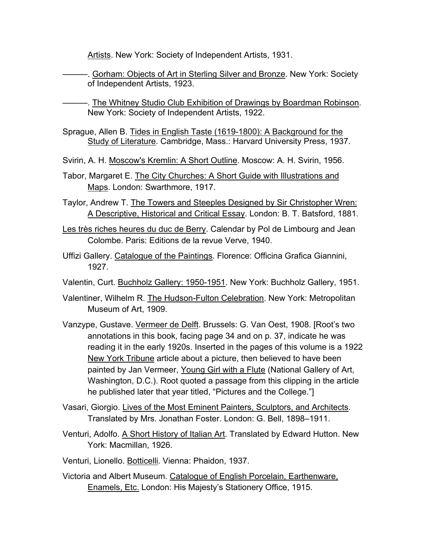Artists. New York: Society of Independent Artists, 1931.

———. Gorham: Objects of Art in Sterling Silver and Bronze. New York: Society of Independent Artists, 1923.

-. The Whitney Studio Club Exhibition of Drawings by Boardman Robinson. New York: Society of Independent Artists, 1922.

- Sprague, Allen B. Tides in English Taste (1619-1800): A Background for the Study of Literature. Cambridge, Mass.: Harvard University Press, 1937.
- Svirin, A. H. Moscow's Kremlin: A Short Outline. Moscow: A. H. Svirin, 1956.
- Tabor, Margaret E. The City Churches: A Short Guide with Illustrations and Maps. London: Swarthmore, 1917.
- Taylor, Andrew T. The Towers and Steeples Designed by Sir Christopher Wren: A Descriptive, Historical and Critical Essay. London: B. T. Batsford, 1881.
- Les très riches heures du duc de Berry. Calendar by Pol de Limbourg and Jean Colombe. Paris: Editions de la revue Verve, 1940.
- Uffizi Gallery. Catalogue of the Paintings. Florence: Officina Grafica Giannini, 1927.
- Valentin, Curt. Buchholz Gallery: 1950-1951. New York: Buchholz Gallery, 1951.
- Valentiner, Wilhelm R. The Hudson-Fulton Celebration. New York: Metropolitan Museum of Art, 1909.
- Vanzype, Gustave. Vermeer de Delft. Brussels: G. Van Oest, 1908. [Root's two annotations in this book, facing page 34 and on p. 37, indicate he was reading it in the early 1920s. Inserted in the pages of this volume is a 1922 New York Tribune article about a picture, then believed to have been painted by Jan Vermeer, Young Girl with a Flute (National Gallery of Art, Washington, D.C.). Root quoted a passage from this clipping in the article he published later that year titled, "Pictures and the College."]
- Vasari, Giorgio. Lives of the Most Eminent Painters, Sculptors, and Architects. Translated by Mrs. Jonathan Foster. London: G. Bell, 1898–1911.
- Venturi, Adolfo. A Short History of Italian Art. Translated by Edward Hutton. New York: Macmillan, 1926.
- Venturi, Lionello. Botticelli. Vienna: Phaidon, 1937.
- Victoria and Albert Museum. Catalogue of English Porcelain, Earthenware, Enamels, Etc. London: His Majesty's Stationery Office, 1915.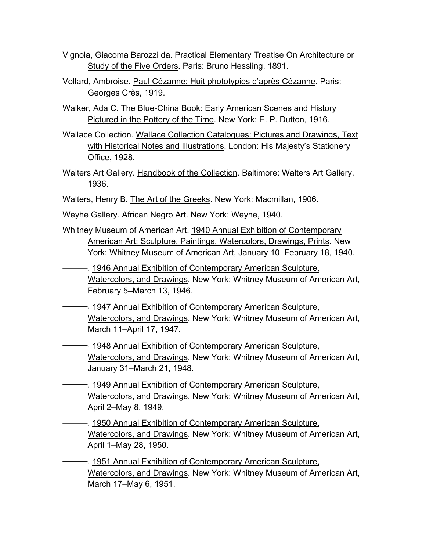- Vignola, Giacoma Barozzi da. Practical Elementary Treatise On Architecture or Study of the Five Orders. Paris: Bruno Hessling, 1891.
- Vollard, Ambroise. Paul Cézanne: Huit phototypies d'après Cézanne. Paris: Georges Crès, 1919.
- Walker, Ada C. The Blue-China Book: Early American Scenes and History Pictured in the Pottery of the Time. New York: E. P. Dutton, 1916.
- Wallace Collection. Wallace Collection Catalogues: Pictures and Drawings, Text with Historical Notes and Illustrations. London: His Majesty's Stationery Office, 1928.
- Walters Art Gallery. Handbook of the Collection. Baltimore: Walters Art Gallery, 1936.
- Walters, Henry B. The Art of the Greeks. New York: Macmillan, 1906.
- Weyhe Gallery. African Negro Art. New York: Weyhe, 1940.
- Whitney Museum of American Art. 1940 Annual Exhibition of Contemporary American Art: Sculpture, Paintings, Watercolors, Drawings, Prints. New York: Whitney Museum of American Art, January 10–February 18, 1940.
- ———. 1946 Annual Exhibition of Contemporary American Sculpture, Watercolors, and Drawings. New York: Whitney Museum of American Art, February 5–March 13, 1946.
- ———. 1947 Annual Exhibition of Contemporary American Sculpture, Watercolors, and Drawings. New York: Whitney Museum of American Art, March 11–April 17, 1947.
- ———. 1948 Annual Exhibition of Contemporary American Sculpture, Watercolors, and Drawings. New York: Whitney Museum of American Art, January 31–March 21, 1948.
- ———. 1949 Annual Exhibition of Contemporary American Sculpture, Watercolors, and Drawings. New York: Whitney Museum of American Art, April 2–May 8, 1949.
- ———. 1950 Annual Exhibition of Contemporary American Sculpture, Watercolors, and Drawings. New York: Whitney Museum of American Art, April 1–May 28, 1950.
- -. 1951 Annual Exhibition of Contemporary American Sculpture, Watercolors, and Drawings. New York: Whitney Museum of American Art, March 17–May 6, 1951.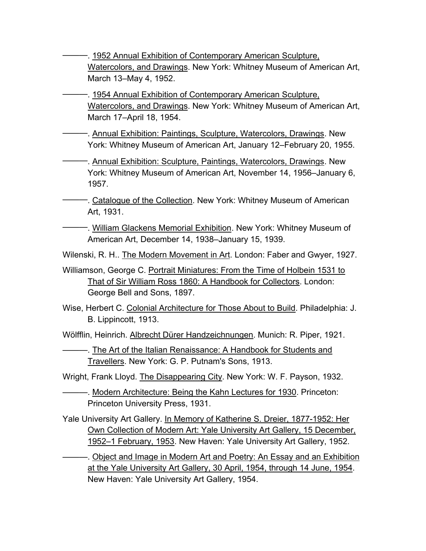———. 1952 Annual Exhibition of Contemporary American Sculpture, Watercolors, and Drawings. New York: Whitney Museum of American Art, March 13–May 4, 1952.

- 1954 Annual Exhibition of Contemporary American Sculpture, Watercolors, and Drawings. New York: Whitney Museum of American Art, March 17–April 18, 1954.
- -. Annual Exhibition: Paintings, Sculpture, Watercolors, Drawings. New York: Whitney Museum of American Art, January 12–February 20, 1955.

———. Annual Exhibition: Sculpture, Paintings, Watercolors, Drawings. New York: Whitney Museum of American Art, November 14, 1956–January 6, 1957.

- ———. Catalogue of the Collection. New York: Whitney Museum of American Art, 1931.
- —. William Glackens Memorial Exhibition. New York: Whitney Museum of American Art, December 14, 1938–January 15, 1939.

Wilenski, R. H.. The Modern Movement in Art. London: Faber and Gwyer, 1927.

- Williamson, George C. Portrait Miniatures: From the Time of Holbein 1531 to That of Sir William Ross 1860: A Handbook for Collectors. London: George Bell and Sons, 1897.
- Wise, Herbert C. Colonial Architecture for Those About to Build. Philadelphia: J. B. Lippincott, 1913.

Wölfflin, Heinrich. Albrecht Dürer Handzeichnungen. Munich: R. Piper, 1921.

———. The Art of the Italian Renaissance: A Handbook for Students and Travellers. New York: G. P. Putnam's Sons, 1913.

Wright, Frank Lloyd. The Disappearing City. New York: W. F. Payson, 1932.

———. Modern Architecture: Being the Kahn Lectures for 1930. Princeton: Princeton University Press, 1931.

Yale University Art Gallery. In Memory of Katherine S. Dreier, 1877-1952: Her Own Collection of Modern Art: Yale University Art Gallery, 15 December, 1952–1 February, 1953. New Haven: Yale University Art Gallery, 1952.

———. Object and Image in Modern Art and Poetry: An Essay and an Exhibition at the Yale University Art Gallery, 30 April, 1954, through 14 June, 1954. New Haven: Yale University Art Gallery, 1954.